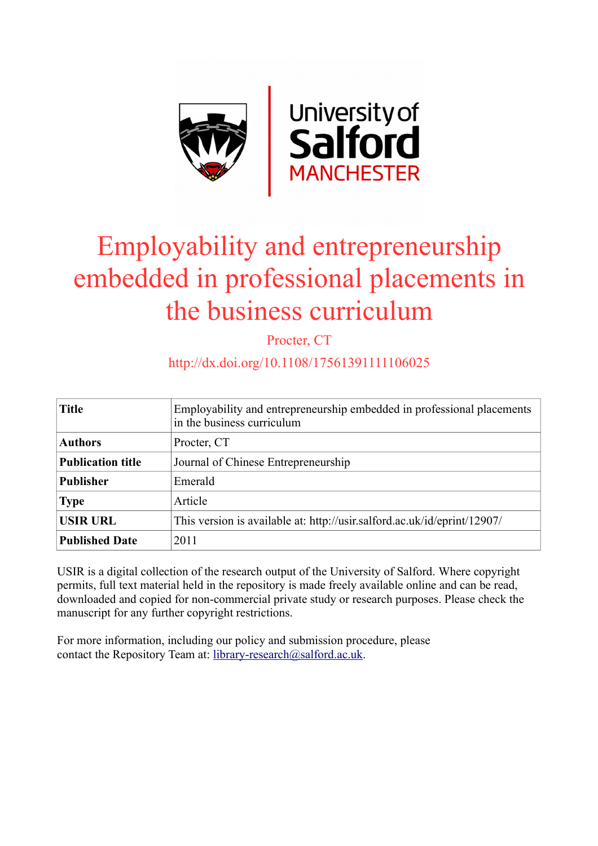

# Employability and entrepreneurship embedded in professional placements in the business curriculum

Procter, CT

# http://dx.doi.org/10.1108/17561391111106025

| <b>Title</b>             | Employability and entrepreneurship embedded in professional placements<br>in the business curriculum |
|--------------------------|------------------------------------------------------------------------------------------------------|
| <b>Authors</b>           | Procter, CT                                                                                          |
| <b>Publication title</b> | Journal of Chinese Entrepreneurship                                                                  |
| <b>Publisher</b>         | Emerald                                                                                              |
| <b>Type</b>              | Article                                                                                              |
| <b>USIR URL</b>          | This version is available at: http://usir.salford.ac.uk/id/eprint/12907/                             |
| <b>Published Date</b>    | 2011                                                                                                 |

USIR is a digital collection of the research output of the University of Salford. Where copyright permits, full text material held in the repository is made freely available online and can be read, downloaded and copied for non-commercial private study or research purposes. Please check the manuscript for any further copyright restrictions.

For more information, including our policy and submission procedure, please contact the Repository Team at: [library-research@salford.ac.uk.](mailto:library-research@salford.ac.uk)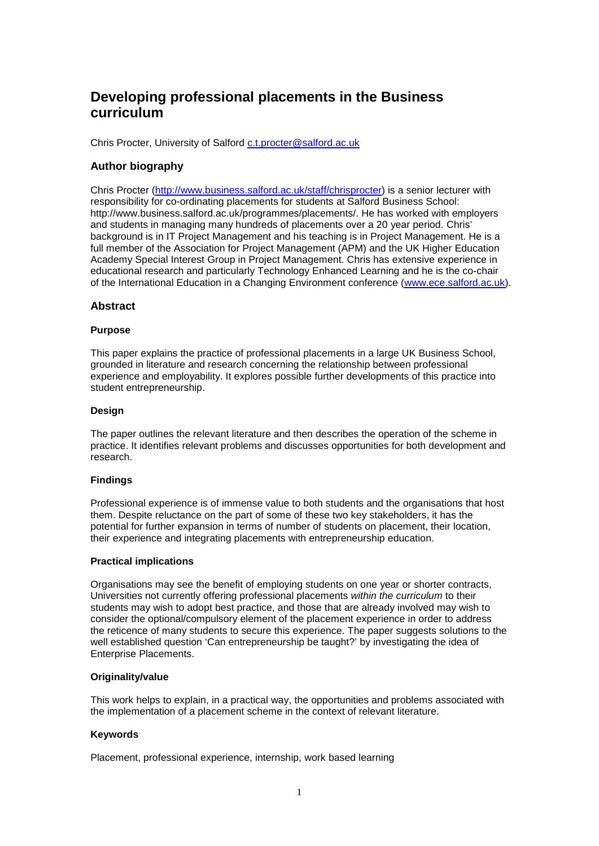# **Developing professional placements in the Business curriculum**

Chris Procter, University of Salford [c.t.procter@salford.ac.uk](mailto:c.t.procter@salford.ac.uk)

# **Author biography**

Chris Procter [\(http://www.business.salford.ac.uk/staff/chrisprocter\)](http://www.business.salford.ac.uk/staff/chrisprocter) is a senior lecturer with responsibility for co-ordinating placements for students at Salford Business School: http://www.business.salford.ac.uk/programmes/placements/. He has worked with employers and students in managing many hundreds of placements over a 20 year period. Chris' background is in IT Project Management and his teaching is in Project Management. He is a full member of the Association for Project Management (APM) and the UK Higher Education Academy Special Interest Group in Project Management. Chris has extensive experience in educational research and particularly Technology Enhanced Learning and he is the co-chair of the International Education in a Changing Environment conference [\(www.ece.salford.ac.uk\)](http://www.ece.salford.ac.uk/).

# **Abstract**

# **Purpose**

This paper explains the practice of professional placements in a large UK Business School, grounded in literature and research concerning the relationship between professional experience and employability. It explores possible further developments of this practice into student entrepreneurship.

# **Design**

The paper outlines the relevant literature and then describes the operation of the scheme in practice. It identifies relevant problems and discusses opportunities for both development and research.

#### **Findings**

Professional experience is of immense value to both students and the organisations that host them. Despite reluctance on the part of some of these two key stakeholders, it has the potential for further expansion in terms of number of students on placement, their location, their experience and integrating placements with entrepreneurship education.

# **Practical implications**

Organisations may see the benefit of employing students on one year or shorter contracts, Universities not currently offering professional placements *within the curriculum* to their students may wish to adopt best practice, and those that are already involved may wish to consider the optional/compulsory element of the placement experience in order to address the reticence of many students to secure this experience. The paper suggests solutions to the well established question 'Can entrepreneurship be taught?' by investigating the idea of Enterprise Placements.

# **Originality/value**

This work helps to explain, in a practical way, the opportunities and problems associated with the implementation of a placement scheme in the context of relevant literature.

# **Keywords**

Placement, professional experience, internship, work based learning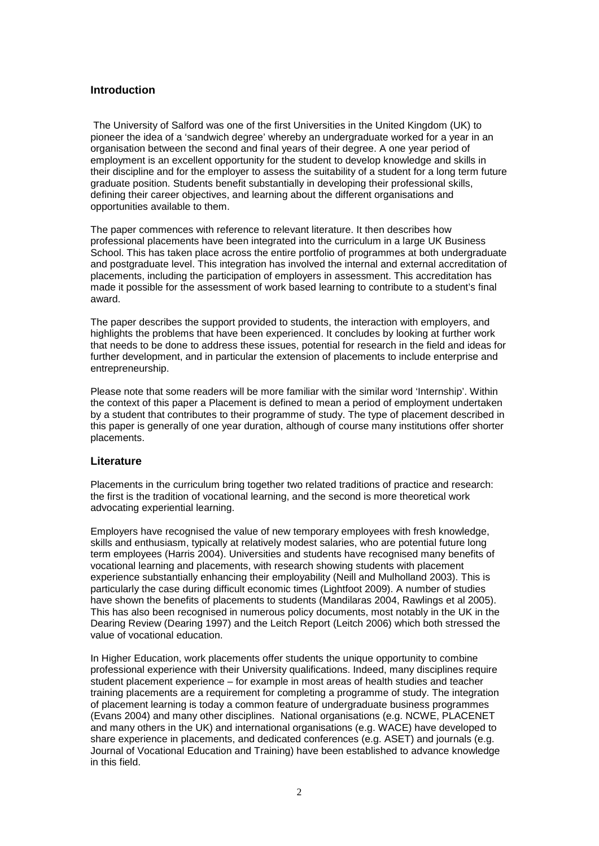# **Introduction**

The University of Salford was one of the first Universities in the United Kingdom (UK) to pioneer the idea of a 'sandwich degree' whereby an undergraduate worked for a year in an organisation between the second and final years of their degree. A one year period of employment is an excellent opportunity for the student to develop knowledge and skills in their discipline and for the employer to assess the suitability of a student for a long term future graduate position. Students benefit substantially in developing their professional skills, defining their career objectives, and learning about the different organisations and opportunities available to them.

The paper commences with reference to relevant literature. It then describes how professional placements have been integrated into the curriculum in a large UK Business School. This has taken place across the entire portfolio of programmes at both undergraduate and postgraduate level. This integration has involved the internal and external accreditation of placements, including the participation of employers in assessment. This accreditation has made it possible for the assessment of work based learning to contribute to a student's final award.

The paper describes the support provided to students, the interaction with employers, and highlights the problems that have been experienced. It concludes by looking at further work that needs to be done to address these issues, potential for research in the field and ideas for further development, and in particular the extension of placements to include enterprise and entrepreneurship.

Please note that some readers will be more familiar with the similar word 'Internship'. Within the context of this paper a Placement is defined to mean a period of employment undertaken by a student that contributes to their programme of study. The type of placement described in this paper is generally of one year duration, although of course many institutions offer shorter placements.

### **Literature**

Placements in the curriculum bring together two related traditions of practice and research: the first is the tradition of vocational learning, and the second is more theoretical work advocating experiential learning.

Employers have recognised the value of new temporary employees with fresh knowledge, skills and enthusiasm, typically at relatively modest salaries, who are potential future long term employees (Harris 2004). Universities and students have recognised many benefits of vocational learning and placements, with research showing students with placement experience substantially enhancing their employability (Neill and Mulholland 2003). This is particularly the case during difficult economic times (Lightfoot 2009). A number of studies have shown the benefits of placements to students (Mandilaras 2004, Rawlings et al 2005). This has also been recognised in numerous policy documents, most notably in the UK in the Dearing Review (Dearing 1997) and the Leitch Report (Leitch 2006) which both stressed the value of vocational education.

In Higher Education, work placements offer students the unique opportunity to combine professional experience with their University qualifications. Indeed, many disciplines require student placement experience – for example in most areas of health studies and teacher training placements are a requirement for completing a programme of study. The integration of placement learning is today a common feature of undergraduate business programmes (Evans 2004) and many other disciplines. National organisations (e.g. NCWE, PLACENET and many others in the UK) and international organisations (e.g. WACE) have developed to share experience in placements, and dedicated conferences (e.g. ASET) and journals (e.g. Journal of Vocational Education and Training) have been established to advance knowledge in this field.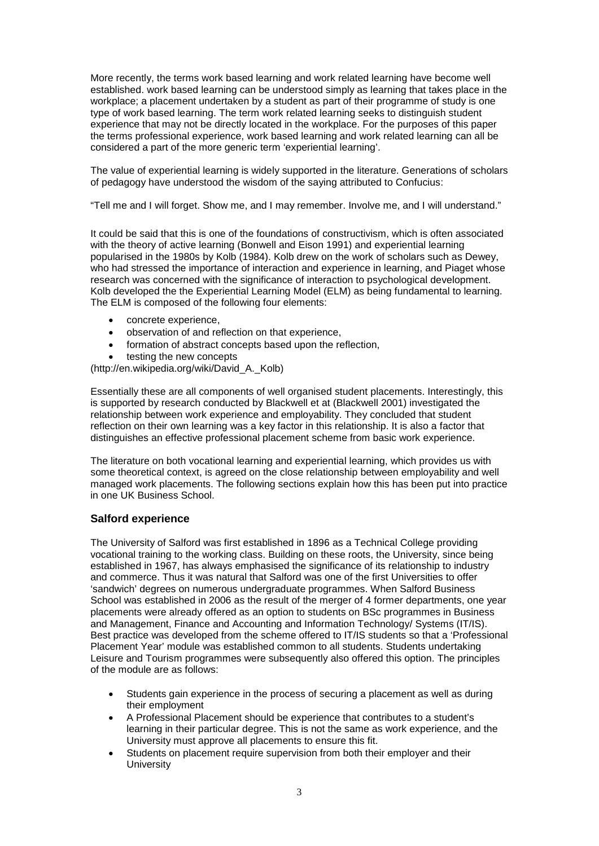More recently, the terms work based learning and work related learning have become well established. work based learning can be understood simply as learning that takes place in the workplace; a placement undertaken by a student as part of their programme of study is one type of work based learning. The term work related learning seeks to distinguish student experience that may not be directly located in the workplace. For the purposes of this paper the terms professional experience, work based learning and work related learning can all be considered a part of the more generic term 'experiential learning'.

The value of experiential learning is widely supported in the literature. Generations of scholars of pedagogy have understood the wisdom of the saying attributed to Confucius:

"Tell me and I will forget. Show me, and I may remember. Involve me, and I will understand."

It could be said that this is one of the foundations of constructivism, which is often associated with the theory of active learning (Bonwell and Eison 1991) and experiential learning popularised in the 1980s by Kolb (1984). Kolb drew on the work of scholars such as Dewey, who had stressed the importance of interaction and experience in learning, and Piaget whose research was concerned with the significance of interaction to psychological development. Kolb developed the the Experiential Learning Model (ELM) as being fundamental to learning. The ELM is composed of the following four elements:

- concrete experience,
- observation of and reflection on that experience,
- formation of abstract concepts based upon the reflection,
- testing the new concepts

(http://en.wikipedia.org/wiki/David\_A.\_Kolb)

Essentially these are all components of well organised student placements. Interestingly, this is supported by research conducted by Blackwell et at (Blackwell 2001) investigated the relationship between work experience and employability. They concluded that student reflection on their own learning was a key factor in this relationship. It is also a factor that distinguishes an effective professional placement scheme from basic work experience.

The literature on both vocational learning and experiential learning, which provides us with some theoretical context, is agreed on the close relationship between employability and well managed work placements. The following sections explain how this has been put into practice in one UK Business School.

# **Salford experience**

The University of Salford was first established in 1896 as a Technical College providing vocational training to the working class. Building on these roots, the University, since being established in 1967, has always emphasised the significance of its relationship to industry and commerce. Thus it was natural that Salford was one of the first Universities to offer 'sandwich' degrees on numerous undergraduate programmes. When Salford Business School was established in 2006 as the result of the merger of 4 former departments, one year placements were already offered as an option to students on BSc programmes in Business and Management, Finance and Accounting and Information Technology/ Systems (IT/IS). Best practice was developed from the scheme offered to IT/IS students so that a 'Professional Placement Year' module was established common to all students. Students undertaking Leisure and Tourism programmes were subsequently also offered this option. The principles of the module are as follows:

- Students gain experience in the process of securing a placement as well as during their employment
- A Professional Placement should be experience that contributes to a student's learning in their particular degree. This is not the same as work experience, and the University must approve all placements to ensure this fit.
- Students on placement require supervision from both their employer and their **University**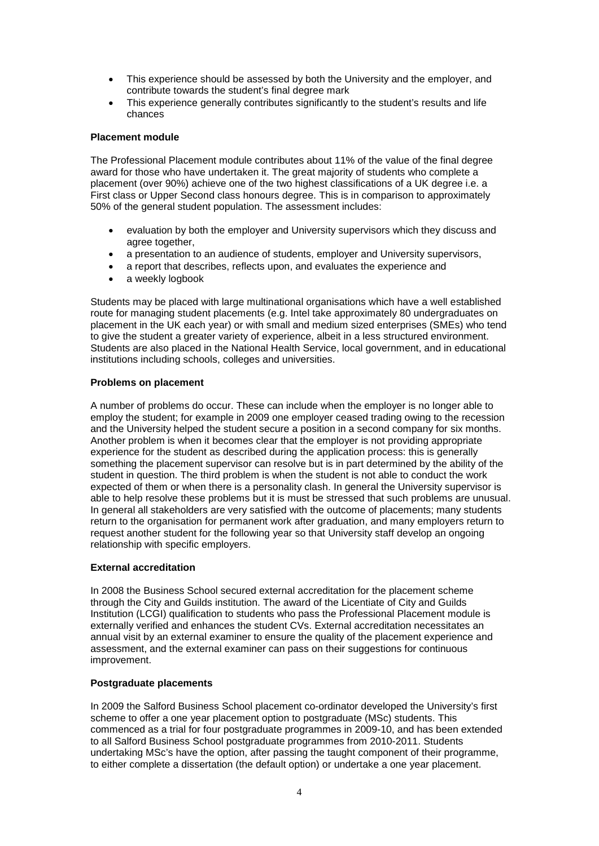- This experience should be assessed by both the University and the employer, and contribute towards the student's final degree mark
- This experience generally contributes significantly to the student's results and life chances

# **Placement module**

The Professional Placement module contributes about 11% of the value of the final degree award for those who have undertaken it. The great majority of students who complete a placement (over 90%) achieve one of the two highest classifications of a UK degree i.e. a First class or Upper Second class honours degree. This is in comparison to approximately 50% of the general student population. The assessment includes:

- evaluation by both the employer and University supervisors which they discuss and agree together,
- a presentation to an audience of students, employer and University supervisors,
- a report that describes, reflects upon, and evaluates the experience and
- a weekly logbook

Students may be placed with large multinational organisations which have a well established route for managing student placements (e.g. Intel take approximately 80 undergraduates on placement in the UK each year) or with small and medium sized enterprises (SMEs) who tend to give the student a greater variety of experience, albeit in a less structured environment. Students are also placed in the National Health Service, local government, and in educational institutions including schools, colleges and universities.

#### **Problems on placement**

A number of problems do occur. These can include when the employer is no longer able to employ the student; for example in 2009 one employer ceased trading owing to the recession and the University helped the student secure a position in a second company for six months. Another problem is when it becomes clear that the employer is not providing appropriate experience for the student as described during the application process: this is generally something the placement supervisor can resolve but is in part determined by the ability of the student in question. The third problem is when the student is not able to conduct the work expected of them or when there is a personality clash. In general the University supervisor is able to help resolve these problems but it is must be stressed that such problems are unusual. In general all stakeholders are very satisfied with the outcome of placements; many students return to the organisation for permanent work after graduation, and many employers return to request another student for the following year so that University staff develop an ongoing relationship with specific employers.

### **External accreditation**

In 2008 the Business School secured external accreditation for the placement scheme through the City and Guilds institution. The award of the Licentiate of City and Guilds Institution (LCGI) qualification to students who pass the Professional Placement module is externally verified and enhances the student CVs. External accreditation necessitates an annual visit by an external examiner to ensure the quality of the placement experience and assessment, and the external examiner can pass on their suggestions for continuous improvement.

#### **Postgraduate placements**

In 2009 the Salford Business School placement co-ordinator developed the University's first scheme to offer a one year placement option to postgraduate (MSc) students. This commenced as a trial for four postgraduate programmes in 2009-10, and has been extended to all Salford Business School postgraduate programmes from 2010-2011. Students undertaking MSc's have the option, after passing the taught component of their programme, to either complete a dissertation (the default option) or undertake a one year placement.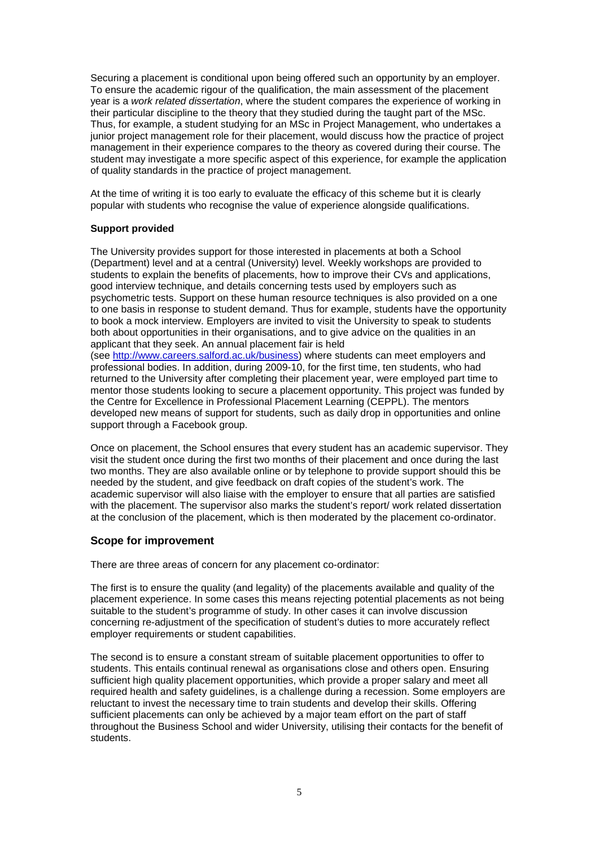Securing a placement is conditional upon being offered such an opportunity by an employer. To ensure the academic rigour of the qualification, the main assessment of the placement year is a *work related dissertation*, where the student compares the experience of working in their particular discipline to the theory that they studied during the taught part of the MSc. Thus, for example, a student studying for an MSc in Project Management, who undertakes a junior project management role for their placement, would discuss how the practice of project management in their experience compares to the theory as covered during their course. The student may investigate a more specific aspect of this experience, for example the application of quality standards in the practice of project management.

At the time of writing it is too early to evaluate the efficacy of this scheme but it is clearly popular with students who recognise the value of experience alongside qualifications.

# **Support provided**

The University provides support for those interested in placements at both a School (Department) level and at a central (University) level. Weekly workshops are provided to students to explain the benefits of placements, how to improve their CVs and applications, good interview technique, and details concerning tests used by employers such as psychometric tests. Support on these human resource techniques is also provided on a one to one basis in response to student demand. Thus for example, students have the opportunity to book a mock interview. Employers are invited to visit the University to speak to students both about opportunities in their organisations, and to give advice on the qualities in an applicant that they seek. An annual placement fair is held (see [http://www.careers.salford.ac.uk/business\)](http://www.careers.salford.ac.uk/business) where students can meet employers and professional bodies. In addition, during 2009-10, for the first time, ten students, who had returned to the University after completing their placement year, were employed part time to mentor those students looking to secure a placement opportunity. This project was funded by the Centre for Excellence in Professional Placement Learning (CEPPL). The mentors developed new means of support for students, such as daily drop in opportunities and online support through a Facebook group.

Once on placement, the School ensures that every student has an academic supervisor. They visit the student once during the first two months of their placement and once during the last two months. They are also available online or by telephone to provide support should this be needed by the student, and give feedback on draft copies of the student's work. The academic supervisor will also liaise with the employer to ensure that all parties are satisfied with the placement. The supervisor also marks the student's report/ work related dissertation at the conclusion of the placement, which is then moderated by the placement co-ordinator.

# **Scope for improvement**

There are three areas of concern for any placement co-ordinator:

The first is to ensure the quality (and legality) of the placements available and quality of the placement experience. In some cases this means rejecting potential placements as not being suitable to the student's programme of study. In other cases it can involve discussion concerning re-adjustment of the specification of student's duties to more accurately reflect employer requirements or student capabilities.

The second is to ensure a constant stream of suitable placement opportunities to offer to students. This entails continual renewal as organisations close and others open. Ensuring sufficient high quality placement opportunities, which provide a proper salary and meet all required health and safety guidelines, is a challenge during a recession. Some employers are reluctant to invest the necessary time to train students and develop their skills. Offering sufficient placements can only be achieved by a major team effort on the part of staff throughout the Business School and wider University, utilising their contacts for the benefit of students.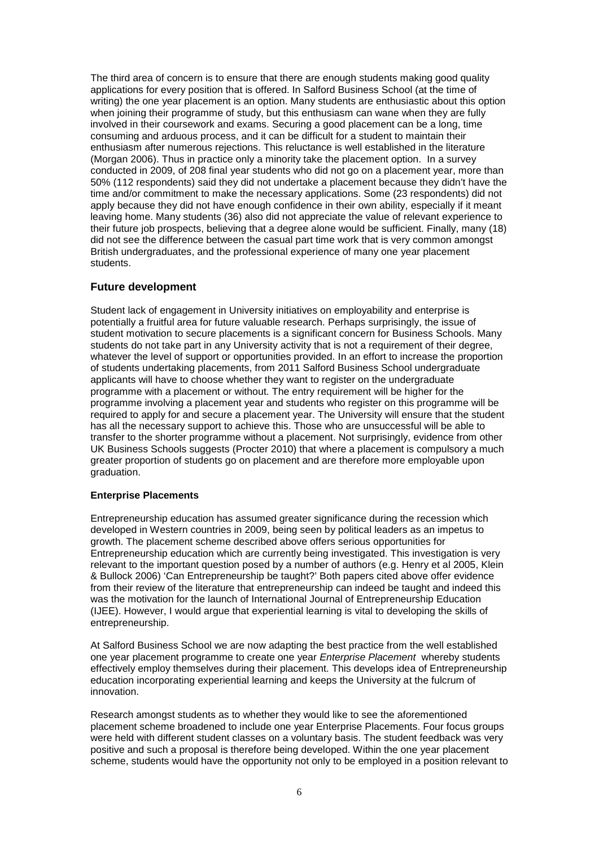The third area of concern is to ensure that there are enough students making good quality applications for every position that is offered. In Salford Business School (at the time of writing) the one year placement is an option. Many students are enthusiastic about this option when joining their programme of study, but this enthusiasm can wane when they are fully involved in their coursework and exams. Securing a good placement can be a long, time consuming and arduous process, and it can be difficult for a student to maintain their enthusiasm after numerous rejections. This reluctance is well established in the literature (Morgan 2006). Thus in practice only a minority take the placement option. In a survey conducted in 2009, of 208 final year students who did not go on a placement year, more than 50% (112 respondents) said they did not undertake a placement because they didn't have the time and/or commitment to make the necessary applications. Some (23 respondents) did not apply because they did not have enough confidence in their own ability, especially if it meant leaving home. Many students (36) also did not appreciate the value of relevant experience to their future job prospects, believing that a degree alone would be sufficient. Finally, many (18) did not see the difference between the casual part time work that is very common amongst British undergraduates, and the professional experience of many one year placement students.

# **Future development**

Student lack of engagement in University initiatives on employability and enterprise is potentially a fruitful area for future valuable research. Perhaps surprisingly, the issue of student motivation to secure placements is a significant concern for Business Schools. Many students do not take part in any University activity that is not a requirement of their degree, whatever the level of support or opportunities provided. In an effort to increase the proportion of students undertaking placements, from 2011 Salford Business School undergraduate applicants will have to choose whether they want to register on the undergraduate programme with a placement or without. The entry requirement will be higher for the programme involving a placement year and students who register on this programme will be required to apply for and secure a placement year. The University will ensure that the student has all the necessary support to achieve this. Those who are unsuccessful will be able to transfer to the shorter programme without a placement. Not surprisingly, evidence from other UK Business Schools suggests (Procter 2010) that where a placement is compulsory a much greater proportion of students go on placement and are therefore more employable upon graduation.

#### **Enterprise Placements**

Entrepreneurship education has assumed greater significance during the recession which developed in Western countries in 2009, being seen by political leaders as an impetus to growth. The placement scheme described above offers serious opportunities for Entrepreneurship education which are currently being investigated. This investigation is very relevant to the important question posed by a number of authors (e.g. Henry et al 2005, Klein & Bullock 2006) 'Can Entrepreneurship be taught?' Both papers cited above offer evidence from their review of the literature that entrepreneurship can indeed be taught and indeed this was the motivation for the launch of International Journal of Entrepreneurship Education (IJEE). However, I would argue that experiential learning is vital to developing the skills of entrepreneurship.

At Salford Business School we are now adapting the best practice from the well established one year placement programme to create one year *Enterprise Placement* whereby students effectively employ themselves during their placement. This develops idea of Entrepreneurship education incorporating experiential learning and keeps the University at the fulcrum of innovation.

Research amongst students as to whether they would like to see the aforementioned placement scheme broadened to include one year Enterprise Placements. Four focus groups were held with different student classes on a voluntary basis. The student feedback was very positive and such a proposal is therefore being developed. Within the one year placement scheme, students would have the opportunity not only to be employed in a position relevant to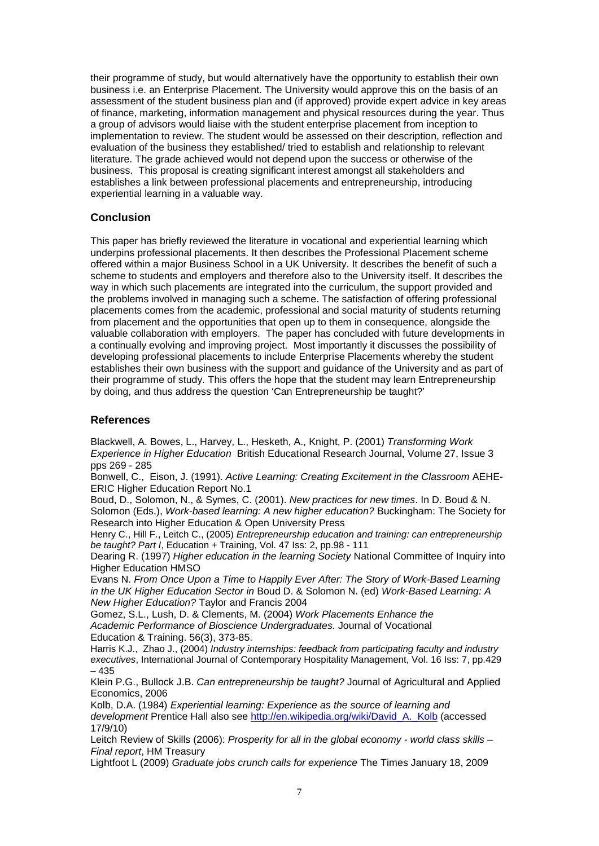their programme of study, but would alternatively have the opportunity to establish their own business i.e. an Enterprise Placement. The University would approve this on the basis of an assessment of the student business plan and (if approved) provide expert advice in key areas of finance, marketing, information management and physical resources during the year. Thus a group of advisors would liaise with the student enterprise placement from inception to implementation to review. The student would be assessed on their description, reflection and evaluation of the business they established/ tried to establish and relationship to relevant literature. The grade achieved would not depend upon the success or otherwise of the business. This proposal is creating significant interest amongst all stakeholders and establishes a link between professional placements and entrepreneurship, introducing experiential learning in a valuable way.

# **Conclusion**

This paper has briefly reviewed the literature in vocational and experiential learning which underpins professional placements. It then describes the Professional Placement scheme offered within a major Business School in a UK University. It describes the benefit of such a scheme to students and employers and therefore also to the University itself. It describes the way in which such placements are integrated into the curriculum, the support provided and the problems involved in managing such a scheme. The satisfaction of offering professional placements comes from the academic, professional and social maturity of students returning from placement and the opportunities that open up to them in consequence, alongside the valuable collaboration with employers. The paper has concluded with future developments in a continually evolving and improving project. Most importantly it discusses the possibility of developing professional placements to include Enterprise Placements whereby the student establishes their own business with the support and guidance of the University and as part of their programme of study. This offers the hope that the student may learn Entrepreneurship by doing, and thus address the question 'Can Entrepreneurship be taught?'

# **References**

Blackwell, A. Bowes, L., Harvey, L., Hesketh, A., Knight, P. (2001) *Transforming Work Experience in Higher Education* [British Educational Research Journal,](http://www.informaworld.com/smpp/title~db=all~content=t713406264) Volume [27,](http://www.informaworld.com/smpp/title~db=all~content=t713406264~tab=issueslist~branches=27#v27) Issue [3](http://www.informaworld.com/smpp/title~db=all~content=g713406351) pps 269 - 285

Bonwell, C., Eison, J. (1991). *Active Learning: Creating Excitement in the Classroom* AEHE-ERIC Higher Education Report No.1

Boud, D., Solomon, N., & Symes, C. (2001). *New practices for new times*. In D. Boud & N. Solomon (Eds.), *Work-based learning: A new higher education?* Buckingham: The Society for Research into Higher Education & Open University Press

Henry C., Hill F., Leitch C., (2005) *Entrepreneurship education and training: can entrepreneurship be taught? Part I*, Education + Training, Vol. 47 Iss: 2, pp.98 - 111

Dearing R. (1997) *Higher education in the learning Society* National Committee of Inquiry into Higher Education HMSO

Evans N. *From Once Upon a Time to Happily Ever After: The Story of Work-Based Learning in the UK Higher Education Sector in* Boud D. & Solomon N. (ed) *Work-Based Learning: A New Higher Education?* Taylor and Francis 2004

Gomez, S.L., Lush, D. & Clements, M. (2004) *Work Placements Enhance the Academic Performance of Bioscience Undergraduates.* Journal of Vocational Education & Training. 56(3), 373-85.

Harris K.J., Zhao J., (2004) *Industry internships: feedback from participating faculty and industry executives*, International Journal of Contemporary Hospitality Management, Vol. 16 Iss: 7, pp.429 – 435

Klein P.G., Bullock J.B. *[Can entrepreneurship be taught?](http://web.missouri.edu/~kleinp/papers/06012.pdf)* Journal of Agricultural and Applied Economics, 2006

Kolb, D.A. (1984) *Experiential learning: Experience as the source of learning and development* Prentice Hall also see [http://en.wikipedia.org/wiki/David\\_A.\\_Kolb](http://en.wikipedia.org/wiki/David_A._Kolb) (accessed 17/9/10)

Leitch Review of Skills (2006): *[Prosperity for all in the global economy -](http://www.hm-treasury.gov.uk/media/6/4/leitch_finalreport051206.pdf) world class skills – [Final report](http://www.hm-treasury.gov.uk/media/6/4/leitch_finalreport051206.pdf)*, HM Treasury

Lightfoot L (2009) *Graduate jobs crunch calls for experience* The Times January 18, 2009